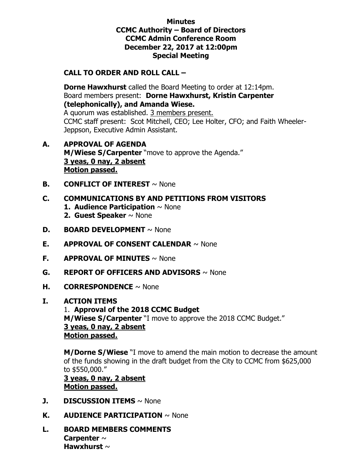### **Minutes CCMC Authority – Board of Directors CCMC Admin Conference Room December 22, 2017 at 12:00pm Special Meeting**

## **CALL TO ORDER AND ROLL CALL –**

 **Dorne Hawxhurst** called the Board Meeting to order at 12:14pm. Board members present: **Dorne Hawxhurst, Kristin Carpenter (telephonically), and Amanda Wiese.**  A quorum was established. 3 members present. CCMC staff present: Scot Mitchell, CEO; Lee Holter, CFO; and Faith Wheeler-Jeppson, Executive Admin Assistant.

- **A. APPROVAL OF AGENDA M/Wiese S/Carpenter** "move to approve the Agenda." **3 yeas, 0 nay, 2 absent Motion passed.**
- **B. CONFLICT OF INTEREST**  $\sim$  None

### **C. COMMUNICATIONS BY AND PETITIONS FROM VISITORS**

- **1. Audience Participation** ~ None
- **2. Guest Speaker** ~ None
- **D. BOARD DEVELOPMENT** ~ None
- **E. APPROVAL OF CONSENT CALENDAR** ~ None
- **F. APPROVAL OF MINUTES** ~ None
- **G. REPORT OF OFFICERS AND ADVISORS** ~ None
- **H. CORRESPONDENCE** ~ None

#### **I. ACTION ITEMS**

1. **Approval of the 2018 CCMC Budget M/Wiese S/Carpenter** "I move to approve the 2018 CCMC Budget." **3 yeas, 0 nay, 2 absent Motion passed.**

**M/Dorne S/Wiese** "I move to amend the main motion to decrease the amount of the funds showing in the draft budget from the City to CCMC from \$625,000 to \$550,000."

**3 yeas, 0 nay, 2 absent Motion passed.**

- **J. DISCUSSION ITEMS**  $\sim$  None
- **K. AUDIENCE PARTICIPATION** ~ None
- **L. BOARD MEMBERS COMMENTS Carpenter** ~ **Hawxhurst** ~